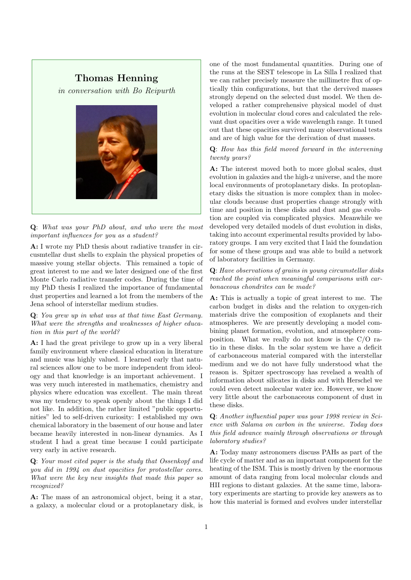# **Thomas Henning**

*in conversation with Bo Reipurth*



**Q**: *What was your PhD about, and who were the most important influences for you as a student?*

**A:** I wrote my PhD thesis about radiative transfer in circusmtellar dust shells to explain the physical propeties of massive young stellar objects. This remained a topic of great interest to me and we later designed one of the first Monte Carlo radiative transfer codes. During the time of my PhD thesis I realized the importance of fundamental dust properties and learned a lot from the members of the Jena school of interstellar medium studies.

**Q**: *You grew up in what was at that time East Germany. What were the strengths and weaknesses of higher education in this part of the world?*

**A:** I had the great privilege to grow up in a very liberal family environment where classical education in literature and music was highly valued. I learned early that natural sciences allow one to be more independent from ideology and that knowledge is an important achievement. I was very much interested in mathematics, chemistry and physics where education was excellent. The main threat was my tendency to speak openly about the things I did not like. In addition, the rather limited "public opportunities" led to self-driven curiosity: I established my own chemical laboratory in the basement of our house and later became heavily interested in non-linear dynamics. As I student I had a great time because I could participate very early in active research.

**Q**: *Your most cited paper is the study that Ossenkopf and you did in 1994 on dust opacities for protostellar cores. What were the key new insights that made this paper so recognized?*

**A:** The mass of an astronomical object, being it a star, a galaxy, a molecular cloud or a protoplanetary disk, is one of the most fundamental quantities. During one of the runs at the SEST telescope in La Silla I realized that we can rather precisely measure the millimetre flux of optically thin configurations, but that the dervived masses strongly depend on the selected dust model. We then developed a rather comprehensive physical model of dust evolution in molecular cloud cores and calculated the relevant dust opacities over a wide wavelength range. It tuned out that these opacities survived many observational tests and are of high value for the derivation of dust masses.

## **Q**: *How has this field moved forward in the intervening twenty years?*

**A:** The interest moved both to more global scales, dust evolution in galaxies and the high-z universe, and the more local environments of protoplanetary disks. In protoplanetary disks the situation is more complex than in molecular clouds because dust properties change strongly with time and position in these disks and dust and gas evolution are coupled via complicated physics. Meanwhile we developed very detailed models of dust evolution in disks, taking into account experimental results provided by laboratory groups. I am very excited that I laid the foundation for some of these groups and was able to build a network of laboratory facilities in Germany.

## **Q**: *Have observations of grains in young circumstellar disks reached the point when meaningful comparisons with carbonaceous chondrites can be made?*

**A:** This is actually a topic of great interest to me. The carbon budget in disks and the relation to oxygen-rich materials drive the composition of exoplanets and their atmospheres. We are presently developing a model combining planet formation, evolution, and atmosphere composition. What we really do not know is the C/O ratio in these disks. In the solar system we have a deficit of carbonaceous material compared with the interstellar medium and we do not have fully understood what the reason is. Spitzer spectroscopy has revelaed a wealth of information about silicates in disks and with Herschel we could even detect molecular water ice. However, we know very little about the carbonaceous component of dust in these disks.

**Q**: *Another influential paper was your 1998 review in Science with Salama on carbon in the universe. Today does this field advance mainly through observations or through laboratory studies?*

**A:** Today many astronomers discuss PAHs as part of the life cycle of matter and as an important component for the heating of the ISM. This is mostly driven by the enormous amount of data ranging from local molecular clouds and HII regions to distant galaxies. At the same time, laboratory experiments are starting to provide key answers as to how this material is formed and evolves under interstellar